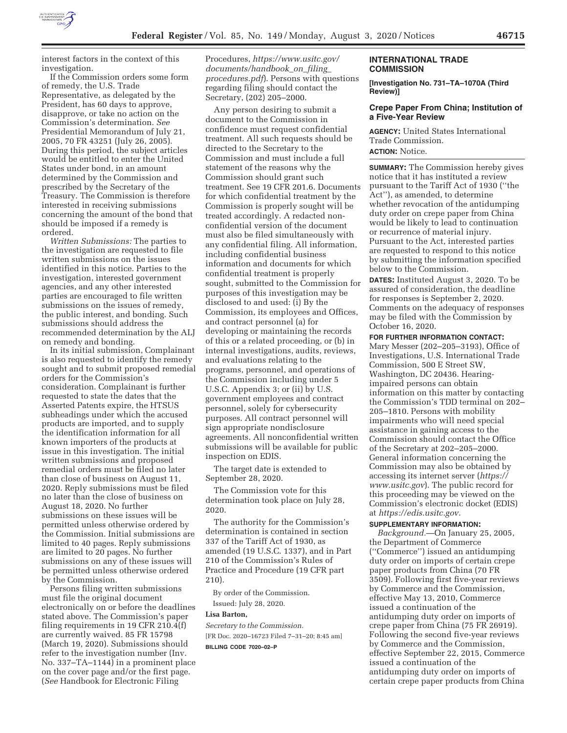

interest factors in the context of this investigation.

If the Commission orders some form of remedy, the U.S. Trade Representative, as delegated by the President, has 60 days to approve, disapprove, or take no action on the Commission's determination. *See*  Presidential Memorandum of July 21, 2005, 70 FR 43251 (July 26, 2005). During this period, the subject articles would be entitled to enter the United States under bond, in an amount determined by the Commission and prescribed by the Secretary of the Treasury. The Commission is therefore interested in receiving submissions concerning the amount of the bond that should be imposed if a remedy is ordered.

*Written Submissions:* The parties to the investigation are requested to file written submissions on the issues identified in this notice. Parties to the investigation, interested government agencies, and any other interested parties are encouraged to file written submissions on the issues of remedy, the public interest, and bonding. Such submissions should address the recommended determination by the ALJ on remedy and bonding.

In its initial submission, Complainant is also requested to identify the remedy sought and to submit proposed remedial orders for the Commission's consideration. Complainant is further requested to state the dates that the Asserted Patents expire, the HTSUS subheadings under which the accused products are imported, and to supply the identification information for all known importers of the products at issue in this investigation. The initial written submissions and proposed remedial orders must be filed no later than close of business on August 11, 2020. Reply submissions must be filed no later than the close of business on August 18, 2020. No further submissions on these issues will be permitted unless otherwise ordered by the Commission. Initial submissions are limited to 40 pages. Reply submissions are limited to 20 pages. No further submissions on any of these issues will be permitted unless otherwise ordered by the Commission.

Persons filing written submissions must file the original document electronically on or before the deadlines stated above. The Commission's paper filing requirements in 19 CFR 210.4(f) are currently waived. 85 FR 15798 (March 19, 2020). Submissions should refer to the investigation number (Inv. No. 337–TA–1144) in a prominent place on the cover page and/or the first page. (*See* Handbook for Electronic Filing

Procedures, *https://www.usitc.gov/ documents/handbook*\_*on*\_*filing*\_ *procedures.pdf*). Persons with questions regarding filing should contact the Secretary, (202) 205–2000.

Any person desiring to submit a document to the Commission in confidence must request confidential treatment. All such requests should be directed to the Secretary to the Commission and must include a full statement of the reasons why the Commission should grant such treatment. See 19 CFR 201.6. Documents for which confidential treatment by the Commission is properly sought will be treated accordingly. A redacted nonconfidential version of the document must also be filed simultaneously with any confidential filing. All information, including confidential business information and documents for which confidential treatment is properly sought, submitted to the Commission for purposes of this investigation may be disclosed to and used: (i) By the Commission, its employees and Offices, and contract personnel (a) for developing or maintaining the records of this or a related proceeding, or (b) in internal investigations, audits, reviews, and evaluations relating to the programs, personnel, and operations of the Commission including under 5 U.S.C. Appendix 3; or (ii) by U.S. government employees and contract personnel, solely for cybersecurity purposes. All contract personnel will sign appropriate nondisclosure agreements. All nonconfidential written submissions will be available for public inspection on EDIS.

The target date is extended to September 28, 2020.

The Commission vote for this determination took place on July 28, 2020.

The authority for the Commission's determination is contained in section 337 of the Tariff Act of 1930, as amended (19 U.S.C. 1337), and in Part 210 of the Commission's Rules of Practice and Procedure (19 CFR part 210).

By order of the Commission. Issued: July 28, 2020.

#### **Lisa Barton,**

*Secretary to the Commission.*  [FR Doc. 2020–16723 Filed 7–31–20; 8:45 am] **BILLING CODE 7020–02–P** 

#### **INTERNATIONAL TRADE COMMISSION**

**[Investigation No. 731–TA–1070A (Third Review)]** 

## **Crepe Paper From China; Institution of a Five-Year Review**

**AGENCY:** United States International Trade Commission. **ACTION:** Notice.

**SUMMARY:** The Commission hereby gives notice that it has instituted a review pursuant to the Tariff Act of 1930 (''the Act''), as amended, to determine whether revocation of the antidumping duty order on crepe paper from China would be likely to lead to continuation or recurrence of material injury. Pursuant to the Act, interested parties are requested to respond to this notice by submitting the information specified below to the Commission.

**DATES:** Instituted August 3, 2020. To be assured of consideration, the deadline for responses is September 2, 2020. Comments on the adequacy of responses may be filed with the Commission by October 16, 2020.

**FOR FURTHER INFORMATION CONTACT:** 

Mary Messer (202–205–3193), Office of Investigations, U.S. International Trade Commission, 500 E Street SW, Washington, DC 20436. Hearingimpaired persons can obtain information on this matter by contacting the Commission's TDD terminal on 202– 205–1810. Persons with mobility impairments who will need special assistance in gaining access to the Commission should contact the Office of the Secretary at 202–205–2000. General information concerning the Commission may also be obtained by accessing its internet server (*https:// www.usitc.gov*). The public record for this proceeding may be viewed on the Commission's electronic docket (EDIS) at *https://edis.usitc.gov.* 

## **SUPPLEMENTARY INFORMATION:**

*Background.*—On January 25, 2005, the Department of Commerce (''Commerce'') issued an antidumping duty order on imports of certain crepe paper products from China (70 FR 3509). Following first five-year reviews by Commerce and the Commission, effective May 13, 2010, Commerce issued a continuation of the antidumping duty order on imports of crepe paper from China (75 FR 26919). Following the second five-year reviews by Commerce and the Commission, effective September 22, 2015, Commerce issued a continuation of the antidumping duty order on imports of certain crepe paper products from China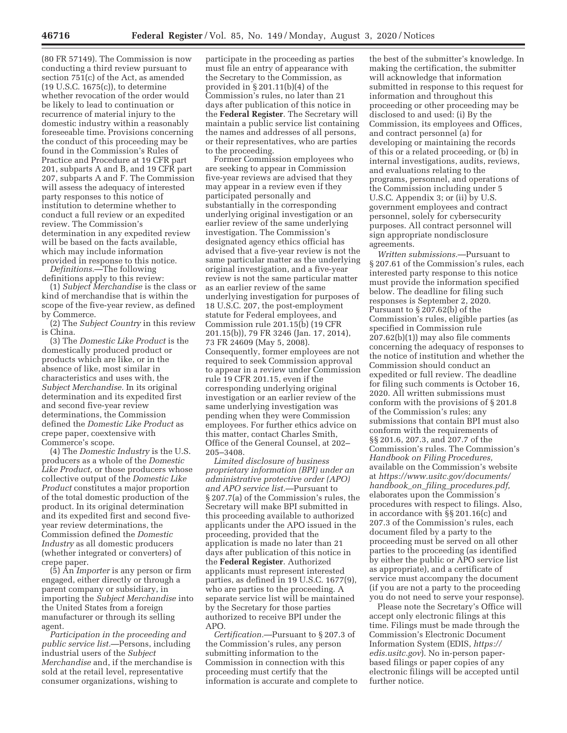(80 FR 57149). The Commission is now conducting a third review pursuant to section 751(c) of the Act, as amended (19 U.S.C. 1675(c)), to determine whether revocation of the order would be likely to lead to continuation or recurrence of material injury to the domestic industry within a reasonably foreseeable time. Provisions concerning the conduct of this proceeding may be found in the Commission's Rules of Practice and Procedure at 19 CFR part 201, subparts A and B, and 19 CFR part 207, subparts A and F. The Commission will assess the adequacy of interested party responses to this notice of institution to determine whether to conduct a full review or an expedited review. The Commission's determination in any expedited review will be based on the facts available. which may include information provided in response to this notice.

*Definitions.*—The following definitions apply to this review:

(1) *Subject Merchandise* is the class or kind of merchandise that is within the scope of the five-year review, as defined by Commerce.

(2) The *Subject Country* in this review is China.

(3) The *Domestic Like Product* is the domestically produced product or products which are like, or in the absence of like, most similar in characteristics and uses with, the *Subject Merchandise.* In its original determination and its expedited first and second five-year review determinations, the Commission defined the *Domestic Like Product* as crepe paper, coextensive with Commerce's scope.

(4) The *Domestic Industry* is the U.S. producers as a whole of the *Domestic Like Product,* or those producers whose collective output of the *Domestic Like Product* constitutes a major proportion of the total domestic production of the product. In its original determination and its expedited first and second fiveyear review determinations, the Commission defined the *Domestic Industry* as all domestic producers (whether integrated or converters) of crepe paper.

(5) An *Importer* is any person or firm engaged, either directly or through a parent company or subsidiary, in importing the *Subject Merchandise* into the United States from a foreign manufacturer or through its selling agent.

*Participation in the proceeding and public service list.*—Persons, including industrial users of the *Subject Merchandise* and, if the merchandise is sold at the retail level, representative consumer organizations, wishing to

participate in the proceeding as parties must file an entry of appearance with the Secretary to the Commission, as provided in § 201.11(b)(4) of the Commission's rules, no later than 21 days after publication of this notice in the **Federal Register**. The Secretary will maintain a public service list containing the names and addresses of all persons, or their representatives, who are parties to the proceeding.

Former Commission employees who are seeking to appear in Commission five-year reviews are advised that they may appear in a review even if they participated personally and substantially in the corresponding underlying original investigation or an earlier review of the same underlying investigation. The Commission's designated agency ethics official has advised that a five-year review is not the same particular matter as the underlying original investigation, and a five-year review is not the same particular matter as an earlier review of the same underlying investigation for purposes of 18 U.S.C. 207, the post-employment statute for Federal employees, and Commission rule 201.15(b) (19 CFR 201.15(b)), 79 FR 3246 (Jan. 17, 2014), 73 FR 24609 (May 5, 2008). Consequently, former employees are not required to seek Commission approval to appear in a review under Commission rule 19 CFR 201.15, even if the corresponding underlying original investigation or an earlier review of the same underlying investigation was pending when they were Commission employees. For further ethics advice on this matter, contact Charles Smith, Office of the General Counsel, at 202– 205–3408.

*Limited disclosure of business proprietary information (BPI) under an administrative protective order (APO) and APO service list.*—Pursuant to § 207.7(a) of the Commission's rules, the Secretary will make BPI submitted in this proceeding available to authorized applicants under the APO issued in the proceeding, provided that the application is made no later than 21 days after publication of this notice in the **Federal Register**. Authorized applicants must represent interested parties, as defined in 19 U.S.C. 1677(9), who are parties to the proceeding. A separate service list will be maintained by the Secretary for those parties authorized to receive BPI under the APO.

*Certification.*—Pursuant to § 207.3 of the Commission's rules, any person submitting information to the Commission in connection with this proceeding must certify that the information is accurate and complete to

the best of the submitter's knowledge. In making the certification, the submitter will acknowledge that information submitted in response to this request for information and throughout this proceeding or other proceeding may be disclosed to and used: (i) By the Commission, its employees and Offices, and contract personnel (a) for developing or maintaining the records of this or a related proceeding, or (b) in internal investigations, audits, reviews, and evaluations relating to the programs, personnel, and operations of the Commission including under 5 U.S.C. Appendix 3; or (ii) by U.S. government employees and contract personnel, solely for cybersecurity purposes. All contract personnel will sign appropriate nondisclosure agreements.

*Written submissions.*—Pursuant to § 207.61 of the Commission's rules, each interested party response to this notice must provide the information specified below. The deadline for filing such responses is September 2, 2020. Pursuant to § 207.62(b) of the Commission's rules, eligible parties (as specified in Commission rule 207.62(b)(1)) may also file comments concerning the adequacy of responses to the notice of institution and whether the Commission should conduct an expedited or full review. The deadline for filing such comments is October 16, 2020. All written submissions must conform with the provisions of § 201.8 of the Commission's rules; any submissions that contain BPI must also conform with the requirements of §§ 201.6, 207.3, and 207.7 of the Commission's rules. The Commission's *Handbook on Filing Procedures,*  available on the Commission's website at *https://www.usitc.gov/documents/ handbook*\_*on*\_*filing*\_*procedures.pdf,*  elaborates upon the Commission's procedures with respect to filings. Also, in accordance with §§ 201.16(c) and 207.3 of the Commission's rules, each document filed by a party to the proceeding must be served on all other parties to the proceeding (as identified by either the public or APO service list as appropriate), and a certificate of service must accompany the document (if you are not a party to the proceeding you do not need to serve your response).

Please note the Secretary's Office will accept only electronic filings at this time. Filings must be made through the Commission's Electronic Document Information System (EDIS, *https:// edis.usitc.gov*). No in-person paperbased filings or paper copies of any electronic filings will be accepted until further notice.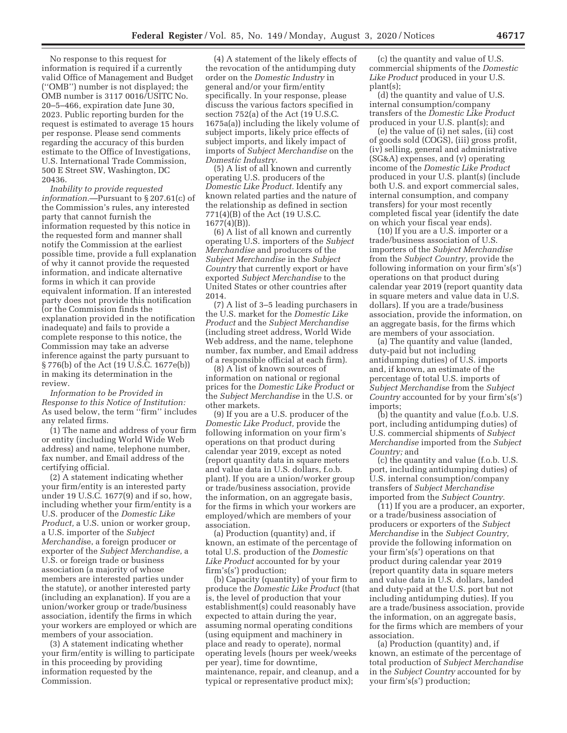No response to this request for information is required if a currently valid Office of Management and Budget (''OMB'') number is not displayed; the OMB number is 3117 0016/USITC No. 20–5–466, expiration date June 30, 2023. Public reporting burden for the request is estimated to average 15 hours per response. Please send comments regarding the accuracy of this burden estimate to the Office of Investigations, U.S. International Trade Commission, 500 E Street SW, Washington, DC 20436.

*Inability to provide requested information.*—Pursuant to § 207.61(c) of the Commission's rules, any interested party that cannot furnish the information requested by this notice in the requested form and manner shall notify the Commission at the earliest possible time, provide a full explanation of why it cannot provide the requested information, and indicate alternative forms in which it can provide equivalent information. If an interested party does not provide this notification (or the Commission finds the explanation provided in the notification inadequate) and fails to provide a complete response to this notice, the Commission may take an adverse inference against the party pursuant to § 776(b) of the Act (19 U.S.C. 1677e(b)) in making its determination in the review.

*Information to be Provided in Response to this Notice of Institution:*  As used below, the term ''firm'' includes any related firms.

(1) The name and address of your firm or entity (including World Wide Web address) and name, telephone number, fax number, and Email address of the certifying official.

(2) A statement indicating whether your firm/entity is an interested party under 19 U.S.C. 1677(9) and if so, how, including whether your firm/entity is a U.S. producer of the *Domestic Like Product,* a U.S. union or worker group, a U.S. importer of the *Subject Merchandi*se, a foreign producer or exporter of the *Subject Merchandise,* a U.S. or foreign trade or business association (a majority of whose members are interested parties under the statute), or another interested party (including an explanation). If you are a union/worker group or trade/business association, identify the firms in which your workers are employed or which are members of your association.

(3) A statement indicating whether your firm/entity is willing to participate in this proceeding by providing information requested by the Commission.

(4) A statement of the likely effects of the revocation of the antidumping duty order on the *Domestic Industry* in general and/or your firm/entity specifically. In your response, please discuss the various factors specified in section 752(a) of the Act (19 U.S.C. 1675a(a)) including the likely volume of subject imports, likely price effects of subject imports, and likely impact of imports of *Subject Merchandise* on the *Domestic Industry.* 

(5) A list of all known and currently operating U.S. producers of the *Domestic Like Product.* Identify any known related parties and the nature of the relationship as defined in section 771(4)(B) of the Act (19 U.S.C. 1677(4)(B)).

(6) A list of all known and currently operating U.S. importers of the *Subject Merchandise* and producers of the *Subject Merchandise* in the *Subject Country* that currently export or have exported *Subject Merchandise* to the United States or other countries after 2014.

(7) A list of 3–5 leading purchasers in the U.S. market for the *Domestic Like Product* and the *Subject Merchandise*  (including street address, World Wide Web address, and the name, telephone number, fax number, and Email address of a responsible official at each firm).

(8) A list of known sources of information on national or regional prices for the *Domestic Like Product* or the *Subject Merchandise* in the U.S. or other markets.

(9) If you are a U.S. producer of the *Domestic Like Product,* provide the following information on your firm's operations on that product during calendar year 2019, except as noted (report quantity data in square meters and value data in U.S. dollars, f.o.b. plant). If you are a union/worker group or trade/business association, provide the information, on an aggregate basis, for the firms in which your workers are employed/which are members of your association.

(a) Production (quantity) and, if known, an estimate of the percentage of total U.S. production of the *Domestic Like Product* accounted for by your firm's(s') production;

(b) Capacity (quantity) of your firm to produce the *Domestic Like Product* (that is, the level of production that your establishment(s) could reasonably have expected to attain during the year, assuming normal operating conditions (using equipment and machinery in place and ready to operate), normal operating levels (hours per week/weeks per year), time for downtime, maintenance, repair, and cleanup, and a typical or representative product mix);

(c) the quantity and value of U.S. commercial shipments of the *Domestic Like Product* produced in your U.S. plant(s);

(d) the quantity and value of U.S. internal consumption/company transfers of the *Domestic Like Product*  produced in your U.S. plant(s); and

(e) the value of (i) net sales, (ii) cost of goods sold (COGS), (iii) gross profit, (iv) selling, general and administrative (SG&A) expenses, and (v) operating income of the *Domestic Like Product*  produced in your U.S. plant(s) (include both U.S. and export commercial sales, internal consumption, and company transfers) for your most recently completed fiscal year (identify the date on which your fiscal year ends).

(10) If you are a U.S. importer or a trade/business association of U.S. importers of the *Subject Merchandise*  from the *Subject Country,* provide the following information on your firm's(s') operations on that product during calendar year 2019 (report quantity data in square meters and value data in U.S. dollars). If you are a trade/business association, provide the information, on an aggregate basis, for the firms which are members of your association.

(a) The quantity and value (landed, duty-paid but not including antidumping duties) of U.S. imports and, if known, an estimate of the percentage of total U.S. imports of *Subject Merchandise* from the *Subject Country* accounted for by your firm's(s') imports;

(b) the quantity and value (f.o.b. U.S. port, including antidumping duties) of U.S. commercial shipments of *Subject Merchandise* imported from the *Subject Country;* and

(c) the quantity and value (f.o.b. U.S. port, including antidumping duties) of U.S. internal consumption/company transfers of *Subject Merchandise*  imported from the *Subject Country.* 

(11) If you are a producer, an exporter, or a trade/business association of producers or exporters of the *Subject Merchandise* in the *Subject Country,*  provide the following information on your firm's(s') operations on that product during calendar year 2019 (report quantity data in square meters and value data in U.S. dollars, landed and duty-paid at the U.S. port but not including antidumping duties). If you are a trade/business association, provide the information, on an aggregate basis, for the firms which are members of your association.

(a) Production (quantity) and, if known, an estimate of the percentage of total production of *Subject Merchandise*  in the *Subject Country* accounted for by your firm's(s') production;